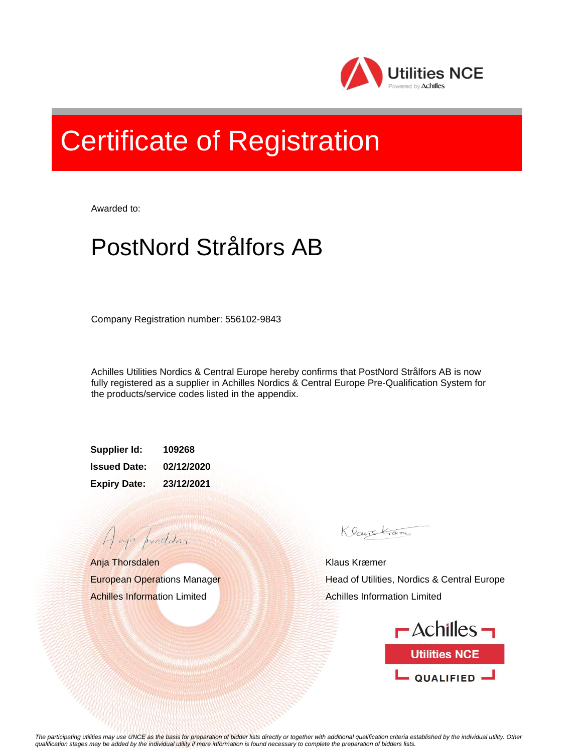

## Certificate of Registration

Awarded to:

## PostNord Strålfors AB

Company Registration number: 556102-9843

Achilles Utilities Nordics & Central Europe hereby confirms that PostNord Strålfors AB is now fully registered as a supplier in Achilles Nordics & Central Europe Pre-Qualification System for the products/service codes listed in the appendix.

**Supplier Id: 109268 Issued Date: 02/12/2020 Expiry Date: 23/12/2021**

Anja Thorsdalen European Operations Manager Achilles Information Limited

A aja providdan

Klauskam

Klaus Kræmer Head of Utilities, Nordics & Central Europe Achilles Information Limited



*The participating utilities may use UNCE as the basis for preparation of bidder lists directly or together with additional qualification criteria established by the individual utility. Other qualification stages may be added by the individual utility if more information is found necessary to complete the preparation of bidders lists.*